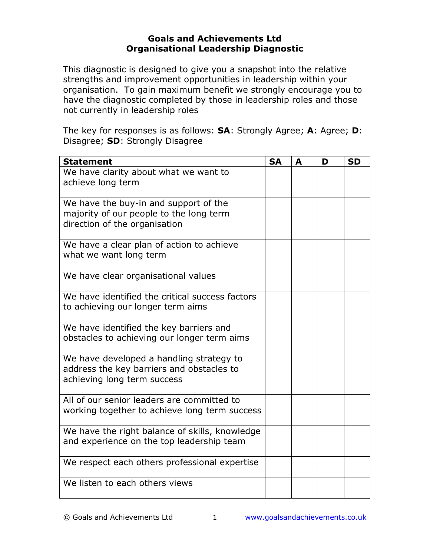## Goals and Achievements Ltd Organisational Leadership Diagnostic

This diagnostic is designed to give you a snapshot into the relative strengths and improvement opportunities in leadership within your organisation. To gain maximum benefit we strongly encourage you to have the diagnostic completed by those in leadership roles and those not currently in leadership roles

The key for responses is as follows: **SA**: Strongly Agree; **A**: Agree; **D**: Disagree; SD: Strongly Disagree

| <b>Statement</b>                                                                                                     | <b>SA</b> | A | D | <b>SD</b> |
|----------------------------------------------------------------------------------------------------------------------|-----------|---|---|-----------|
| We have clarity about what we want to<br>achieve long term                                                           |           |   |   |           |
| We have the buy-in and support of the<br>majority of our people to the long term<br>direction of the organisation    |           |   |   |           |
| We have a clear plan of action to achieve<br>what we want long term                                                  |           |   |   |           |
| We have clear organisational values                                                                                  |           |   |   |           |
| We have identified the critical success factors<br>to achieving our longer term aims                                 |           |   |   |           |
| We have identified the key barriers and<br>obstacles to achieving our longer term aims                               |           |   |   |           |
| We have developed a handling strategy to<br>address the key barriers and obstacles to<br>achieving long term success |           |   |   |           |
| All of our senior leaders are committed to<br>working together to achieve long term success                          |           |   |   |           |
| We have the right balance of skills, knowledge<br>and experience on the top leadership team                          |           |   |   |           |
| We respect each others professional expertise                                                                        |           |   |   |           |
| We listen to each others views                                                                                       |           |   |   |           |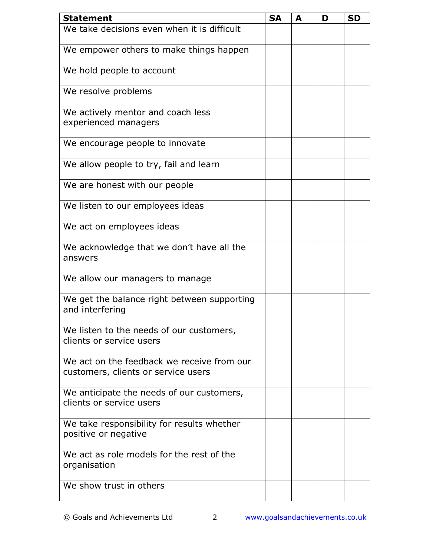| <b>Statement</b>                                                                  | <b>SA</b> | A | D | <b>SD</b> |
|-----------------------------------------------------------------------------------|-----------|---|---|-----------|
| We take decisions even when it is difficult                                       |           |   |   |           |
| We empower others to make things happen                                           |           |   |   |           |
| We hold people to account                                                         |           |   |   |           |
| We resolve problems                                                               |           |   |   |           |
| We actively mentor and coach less<br>experienced managers                         |           |   |   |           |
| We encourage people to innovate                                                   |           |   |   |           |
| We allow people to try, fail and learn                                            |           |   |   |           |
| We are honest with our people                                                     |           |   |   |           |
| We listen to our employees ideas                                                  |           |   |   |           |
| We act on employees ideas                                                         |           |   |   |           |
| We acknowledge that we don't have all the<br>answers                              |           |   |   |           |
| We allow our managers to manage                                                   |           |   |   |           |
| We get the balance right between supporting<br>and interfering                    |           |   |   |           |
| We listen to the needs of our customers,<br>clients or service users              |           |   |   |           |
| We act on the feedback we receive from our<br>customers, clients or service users |           |   |   |           |
| We anticipate the needs of our customers,<br>clients or service users             |           |   |   |           |
| We take responsibility for results whether<br>positive or negative                |           |   |   |           |
| We act as role models for the rest of the<br>organisation                         |           |   |   |           |
| We show trust in others                                                           |           |   |   |           |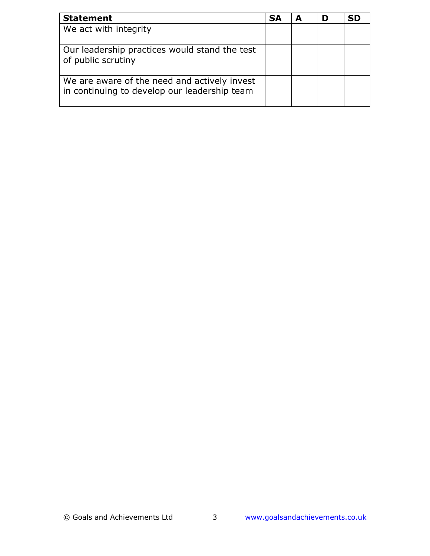| <b>Statement</b>                                                                             | <b>SA</b> | D |  |
|----------------------------------------------------------------------------------------------|-----------|---|--|
| We act with integrity                                                                        |           |   |  |
| Our leadership practices would stand the test<br>of public scrutiny                          |           |   |  |
| We are aware of the need and actively invest<br>in continuing to develop our leadership team |           |   |  |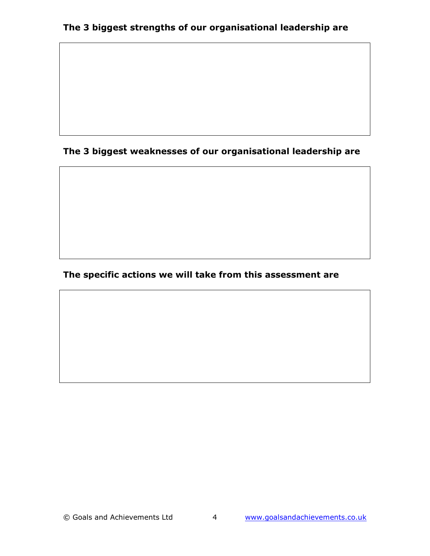## The 3 biggest weaknesses of our organisational leadership are

## The specific actions we will take from this assessment are